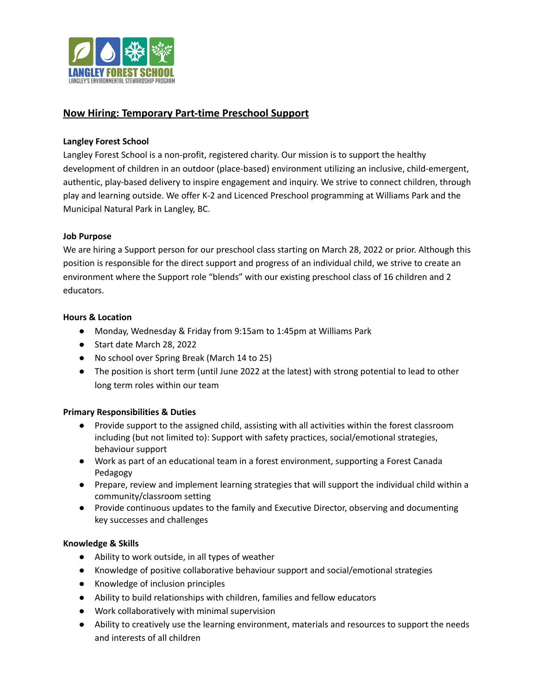

# **Now Hiring: Temporary Part-time Preschool Support**

### **Langley Forest School**

Langley Forest School is a non-profit, registered charity. Our mission is to support the healthy development of children in an outdoor (place-based) environment utilizing an inclusive, child-emergent, authentic, play-based delivery to inspire engagement and inquiry. We strive to connect children, through play and learning outside. We offer K-2 and Licenced Preschool programming at Williams Park and the Municipal Natural Park in Langley, BC.

## **Job Purpose**

We are hiring a Support person for our preschool class starting on March 28, 2022 or prior. Although this position is responsible for the direct support and progress of an individual child, we strive to create an environment where the Support role "blends" with our existing preschool class of 16 children and 2 educators.

### **Hours & Location**

- Monday, Wednesday & Friday from 9:15am to 1:45pm at Williams Park
- Start date March 28, 2022
- No school over Spring Break (March 14 to 25)
- The position is short term (until June 2022 at the latest) with strong potential to lead to other long term roles within our team

### **Primary Responsibilities & Duties**

- Provide support to the assigned child, assisting with all activities within the forest classroom including (but not limited to): Support with safety practices, social/emotional strategies, behaviour support
- Work as part of an educational team in a forest environment, supporting a Forest Canada Pedagogy
- Prepare, review and implement learning strategies that will support the individual child within a community/classroom setting
- Provide continuous updates to the family and Executive Director, observing and documenting key successes and challenges

### **Knowledge & Skills**

- Ability to work outside, in all types of weather
- Knowledge of positive collaborative behaviour support and social/emotional strategies
- Knowledge of inclusion principles
- Ability to build relationships with children, families and fellow educators
- Work collaboratively with minimal supervision
- Ability to creatively use the learning environment, materials and resources to support the needs and interests of all children